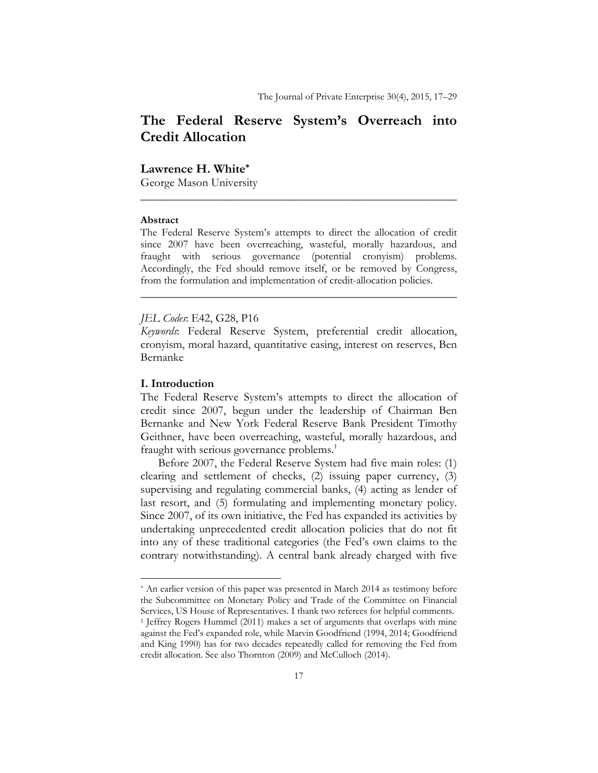# **The Federal Reserve System's Overreach into Credit Allocation**

### **Lawrence H. White\***

George Mason University

#### **Abstract**

The Federal Reserve System's attempts to direct the allocation of credit since 2007 have been overreaching, wasteful, morally hazardous, and fraught with serious governance (potential cronyism) problems. Accordingly, the Fed should remove itself, or be removed by Congress, from the formulation and implementation of credit-allocation policies.

**\_\_\_\_\_\_\_\_\_\_\_\_\_\_\_\_\_\_\_\_\_\_\_\_\_\_\_\_\_\_\_\_\_\_\_\_\_\_\_\_\_\_\_\_\_\_\_\_\_\_\_\_\_\_** 

**\_\_\_\_\_\_\_\_\_\_\_\_\_\_\_\_\_\_\_\_\_\_\_\_\_\_\_\_\_\_\_\_\_\_\_\_\_\_\_\_\_\_\_\_\_\_\_\_\_\_\_\_\_\_** 

#### *JEL Codes*: E42, G28, P16

*Keywords*: Federal Reserve System, preferential credit allocation, cronyism, moral hazard, quantitative easing, interest on reserves, Ben Bernanke

#### **I. Introduction**

The Federal Reserve System's attempts to direct the allocation of credit since 2007, begun under the leadership of Chairman Ben Bernanke and New York Federal Reserve Bank President Timothy Geithner, have been overreaching, wasteful, morally hazardous, and fraught with serious governance problems.<sup>1</sup>

Before 2007, the Federal Reserve System had five main roles: (1) clearing and settlement of checks, (2) issuing paper currency, (3) supervising and regulating commercial banks, (4) acting as lender of last resort, and (5) formulating and implementing monetary policy. Since 2007, of its own initiative, the Fed has expanded its activities by undertaking unprecedented credit allocation policies that do not fit into any of these traditional categories (the Fed's own claims to the contrary notwithstanding). A central bank already charged with five

<sup>\*</sup> An earlier version of this paper was presented in March 2014 as testimony before the Subcommittee on Monetary Policy and Trade of the Committee on Financial Services, US House of Representatives. I thank two referees for helpful comments.

<sup>&</sup>lt;sup>1</sup> Jeffrey Rogers Hummel (2011) makes a set of arguments that overlaps with mine against the Fed's expanded role, while Marvin Goodfriend (1994, 2014; Goodfriend and King 1990) has for two decades repeatedly called for removing the Fed from credit allocation. See also Thornton (2009) and McCulloch (2014).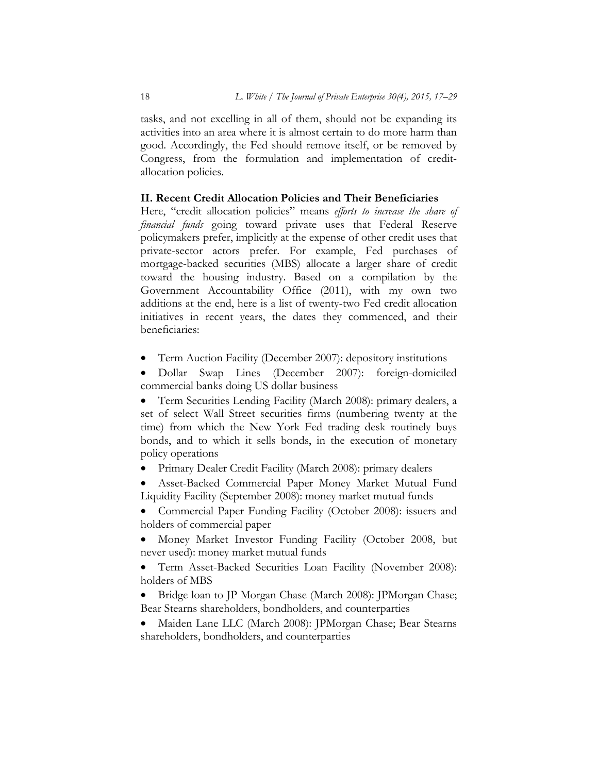tasks, and not excelling in all of them, should not be expanding its activities into an area where it is almost certain to do more harm than good. Accordingly, the Fed should remove itself, or be removed by Congress, from the formulation and implementation of creditallocation policies.

### **II. Recent Credit Allocation Policies and Their Beneficiaries**

Here, "credit allocation policies" means *efforts to increase the share of financial funds* going toward private uses that Federal Reserve policymakers prefer, implicitly at the expense of other credit uses that private-sector actors prefer. For example, Fed purchases of mortgage-backed securities (MBS) allocate a larger share of credit toward the housing industry. Based on a compilation by the Government Accountability Office (2011), with my own two additions at the end, here is a list of twenty-two Fed credit allocation initiatives in recent years, the dates they commenced, and their beneficiaries:

Term Auction Facility (December 2007): depository institutions

 Dollar Swap Lines (December 2007): foreign-domiciled commercial banks doing US dollar business

 Term Securities Lending Facility (March 2008): primary dealers, a set of select Wall Street securities firms (numbering twenty at the time) from which the New York Fed trading desk routinely buys bonds, and to which it sells bonds, in the execution of monetary policy operations

- Primary Dealer Credit Facility (March 2008): primary dealers
- Asset-Backed Commercial Paper Money Market Mutual Fund Liquidity Facility (September 2008): money market mutual funds

• Commercial Paper Funding Facility (October 2008): issuers and holders of commercial paper

 Money Market Investor Funding Facility (October 2008, but never used): money market mutual funds

 Term Asset-Backed Securities Loan Facility (November 2008): holders of MBS

- Bridge loan to JP Morgan Chase (March 2008): JPMorgan Chase; Bear Stearns shareholders, bondholders, and counterparties
- Maiden Lane LLC (March 2008): JPMorgan Chase; Bear Stearns shareholders, bondholders, and counterparties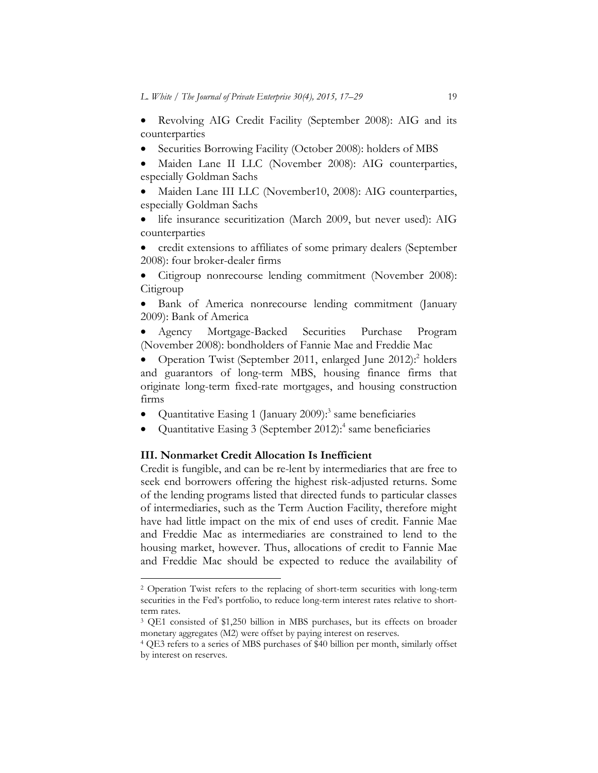Revolving AIG Credit Facility (September 2008): AIG and its counterparties

- Securities Borrowing Facility (October 2008): holders of MBS
- Maiden Lane II LLC (November 2008): AIG counterparties, especially Goldman Sachs
- Maiden Lane III LLC (November10, 2008): AIG counterparties, especially Goldman Sachs
- life insurance securitization (March 2009, but never used): AIG counterparties
- credit extensions to affiliates of some primary dealers (September 2008): four broker-dealer firms
- Citigroup nonrecourse lending commitment (November 2008): Citigroup
- Bank of America nonrecourse lending commitment (January 2009): Bank of America
- Agency Mortgage-Backed Securities Purchase Program (November 2008): bondholders of Fannie Mae and Freddie Mac

• Operation Twist (September 2011, enlarged June 2012):<sup>2</sup> holders and guarantors of long-term MBS, housing finance firms that originate long-term fixed-rate mortgages, and housing construction firms

- Quantitative Easing 1 (January 2009): $3$  same beneficiaries
- Quantitative Easing 3 (September 2012): $4$  same beneficiaries

#### **III. Nonmarket Credit Allocation Is Inefficient**

Credit is fungible, and can be re-lent by intermediaries that are free to seek end borrowers offering the highest risk-adjusted returns. Some of the lending programs listed that directed funds to particular classes of intermediaries, such as the Term Auction Facility, therefore might have had little impact on the mix of end uses of credit. Fannie Mae and Freddie Mac as intermediaries are constrained to lend to the housing market, however. Thus, allocations of credit to Fannie Mae and Freddie Mac should be expected to reduce the availability of

<sup>&</sup>lt;sup>2</sup> Operation Twist refers to the replacing of short-term securities with long-term securities in the Fed's portfolio, to reduce long-term interest rates relative to shortterm rates.

<sup>3</sup> QE1 consisted of \$1,250 billion in MBS purchases, but its effects on broader monetary aggregates (M2) were offset by paying interest on reserves. 4 QE3 refers to a series of MBS purchases of \$40 billion per month, similarly offset

by interest on reserves.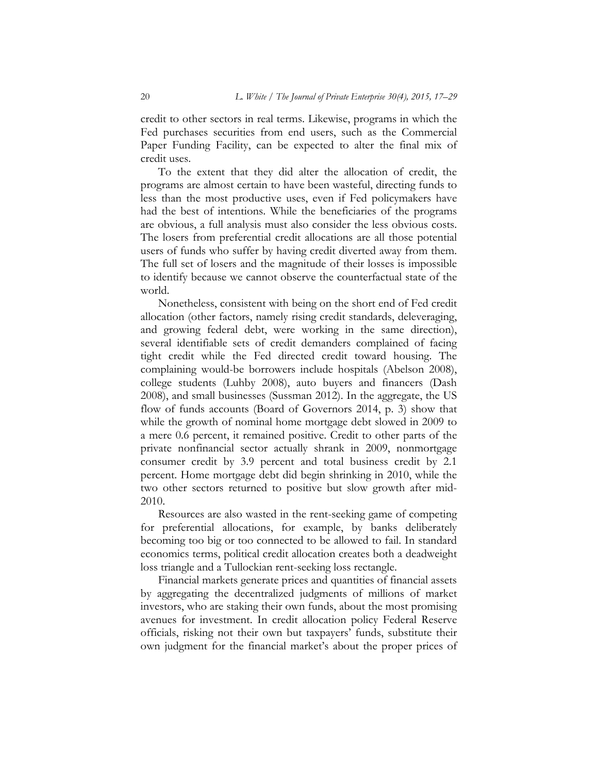credit to other sectors in real terms. Likewise, programs in which the Fed purchases securities from end users, such as the Commercial Paper Funding Facility, can be expected to alter the final mix of credit uses.

To the extent that they did alter the allocation of credit, the programs are almost certain to have been wasteful, directing funds to less than the most productive uses, even if Fed policymakers have had the best of intentions. While the beneficiaries of the programs are obvious, a full analysis must also consider the less obvious costs. The losers from preferential credit allocations are all those potential users of funds who suffer by having credit diverted away from them. The full set of losers and the magnitude of their losses is impossible to identify because we cannot observe the counterfactual state of the world.

Nonetheless, consistent with being on the short end of Fed credit allocation (other factors, namely rising credit standards, deleveraging, and growing federal debt, were working in the same direction), several identifiable sets of credit demanders complained of facing tight credit while the Fed directed credit toward housing. The complaining would-be borrowers include hospitals (Abelson 2008), college students (Luhby 2008), auto buyers and financers (Dash 2008), and small businesses (Sussman 2012). In the aggregate, the US flow of funds accounts (Board of Governors 2014, p. 3) show that while the growth of nominal home mortgage debt slowed in 2009 to a mere 0.6 percent, it remained positive. Credit to other parts of the private nonfinancial sector actually shrank in 2009, nonmortgage consumer credit by 3.9 percent and total business credit by 2.1 percent. Home mortgage debt did begin shrinking in 2010, while the two other sectors returned to positive but slow growth after mid-2010.

Resources are also wasted in the rent-seeking game of competing for preferential allocations, for example, by banks deliberately becoming too big or too connected to be allowed to fail. In standard economics terms, political credit allocation creates both a deadweight loss triangle and a Tullockian rent-seeking loss rectangle.

Financial markets generate prices and quantities of financial assets by aggregating the decentralized judgments of millions of market investors, who are staking their own funds, about the most promising avenues for investment. In credit allocation policy Federal Reserve officials, risking not their own but taxpayers' funds, substitute their own judgment for the financial market's about the proper prices of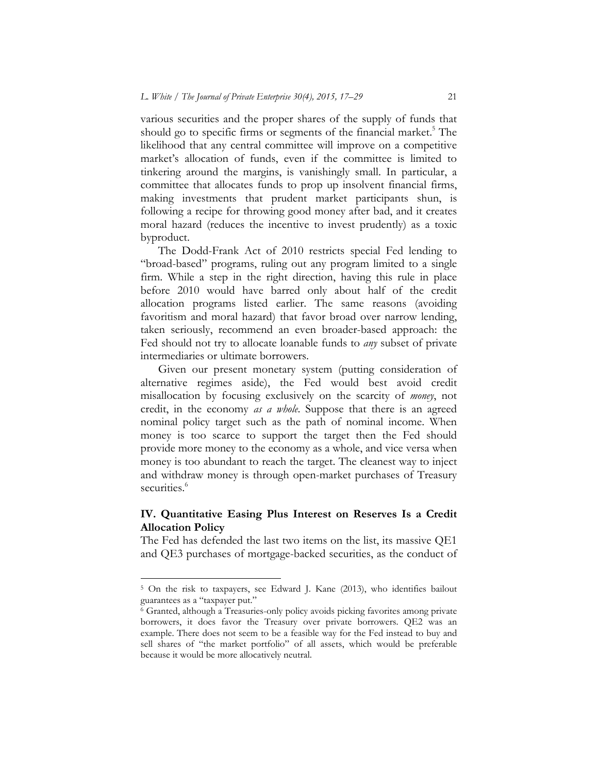various securities and the proper shares of the supply of funds that should go to specific firms or segments of the financial market.<sup>5</sup> The likelihood that any central committee will improve on a competitive market's allocation of funds, even if the committee is limited to tinkering around the margins, is vanishingly small. In particular, a committee that allocates funds to prop up insolvent financial firms, making investments that prudent market participants shun, is following a recipe for throwing good money after bad, and it creates moral hazard (reduces the incentive to invest prudently) as a toxic byproduct.

The Dodd-Frank Act of 2010 restricts special Fed lending to "broad-based" programs, ruling out any program limited to a single firm. While a step in the right direction, having this rule in place before 2010 would have barred only about half of the credit allocation programs listed earlier. The same reasons (avoiding favoritism and moral hazard) that favor broad over narrow lending, taken seriously, recommend an even broader-based approach: the Fed should not try to allocate loanable funds to *any* subset of private intermediaries or ultimate borrowers.

Given our present monetary system (putting consideration of alternative regimes aside), the Fed would best avoid credit misallocation by focusing exclusively on the scarcity of *money*, not credit, in the economy *as a whole*. Suppose that there is an agreed nominal policy target such as the path of nominal income. When money is too scarce to support the target then the Fed should provide more money to the economy as a whole, and vice versa when money is too abundant to reach the target. The cleanest way to inject and withdraw money is through open-market purchases of Treasury securities.<sup>6</sup>

### **IV. Quantitative Easing Plus Interest on Reserves Is a Credit Allocation Policy**

The Fed has defended the last two items on the list, its massive QE1 and QE3 purchases of mortgage-backed securities, as the conduct of

<sup>5</sup> On the risk to taxpayers, see Edward J. Kane (2013), who identifies bailout guarantees as a "taxpayer put." 6 Granted, although a Treasuries-only policy avoids picking favorites among private

borrowers, it does favor the Treasury over private borrowers. QE2 was an example. There does not seem to be a feasible way for the Fed instead to buy and sell shares of "the market portfolio" of all assets, which would be preferable because it would be more allocatively neutral.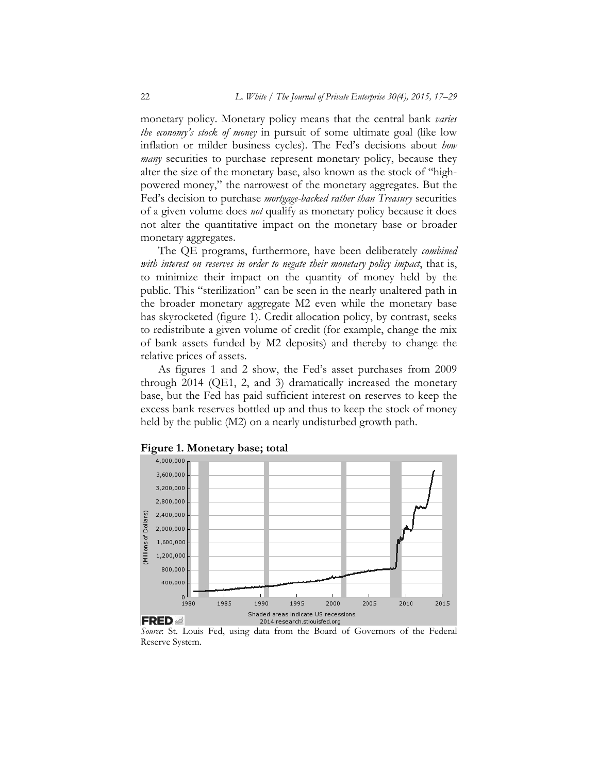monetary policy. Monetary policy means that the central bank *varies the economy's stock of money* in pursuit of some ultimate goal (like low inflation or milder business cycles). The Fed's decisions about *how many* securities to purchase represent monetary policy, because they alter the size of the monetary base, also known as the stock of "highpowered money," the narrowest of the monetary aggregates. But the Fed's decision to purchase *mortgage-backed rather than Treasury* securities of a given volume does *not* qualify as monetary policy because it does not alter the quantitative impact on the monetary base or broader monetary aggregates.

The QE programs, furthermore, have been deliberately *combined with interest on reserves in order to negate their monetary policy impact*, that is, to minimize their impact on the quantity of money held by the public. This "sterilization" can be seen in the nearly unaltered path in the broader monetary aggregate M2 even while the monetary base has skyrocketed (figure 1). Credit allocation policy, by contrast, seeks to redistribute a given volume of credit (for example, change the mix of bank assets funded by M2 deposits) and thereby to change the relative prices of assets.

As figures 1 and 2 show, the Fed's asset purchases from 2009 through 2014 (QE1, 2, and 3) dramatically increased the monetary base, but the Fed has paid sufficient interest on reserves to keep the excess bank reserves bottled up and thus to keep the stock of money held by the public (M2) on a nearly undisturbed growth path.



**Figure 1. Monetary base; total** 

*Source*: St. Louis Fed, using data from the Board of Governors of the Federal Reserve System.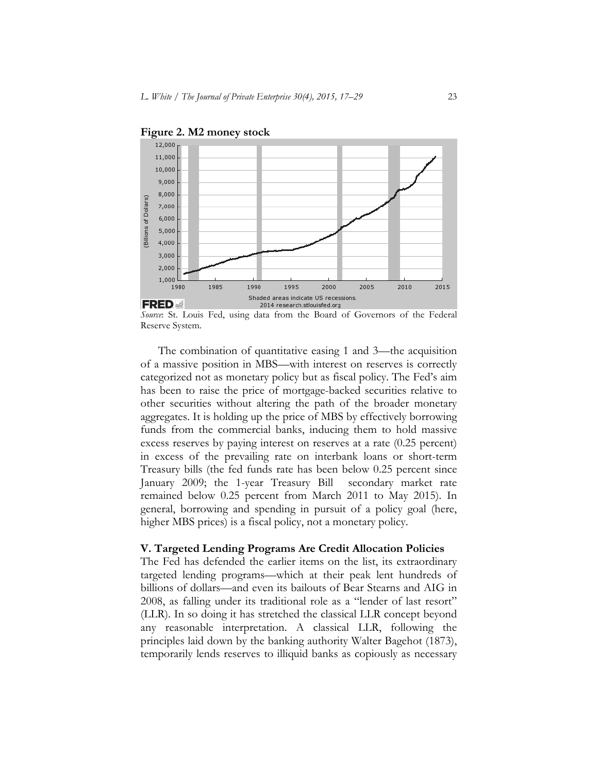

**Figure 2. M2 money stock** 

*Source*: St. Louis Fed, using data from the Board of Governors of the Federal Reserve System.

The combination of quantitative easing 1 and 3—the acquisition of a massive position in MBS—with interest on reserves is correctly categorized not as monetary policy but as fiscal policy. The Fed's aim has been to raise the price of mortgage-backed securities relative to other securities without altering the path of the broader monetary aggregates. It is holding up the price of MBS by effectively borrowing funds from the commercial banks, inducing them to hold massive excess reserves by paying interest on reserves at a rate (0.25 percent) in excess of the prevailing rate on interbank loans or short-term Treasury bills (the fed funds rate has been below 0.25 percent since January 2009; the 1-year Treasury Bill secondary market rate remained below 0.25 percent from March 2011 to May 2015). In general, borrowing and spending in pursuit of a policy goal (here, higher MBS prices) is a fiscal policy, not a monetary policy.

#### **V. Targeted Lending Programs Are Credit Allocation Policies**

The Fed has defended the earlier items on the list, its extraordinary targeted lending programs—which at their peak lent hundreds of billions of dollars—and even its bailouts of Bear Stearns and AIG in 2008, as falling under its traditional role as a "lender of last resort" (LLR). In so doing it has stretched the classical LLR concept beyond any reasonable interpretation. A classical LLR, following the principles laid down by the banking authority Walter Bagehot (1873), temporarily lends reserves to illiquid banks as copiously as necessary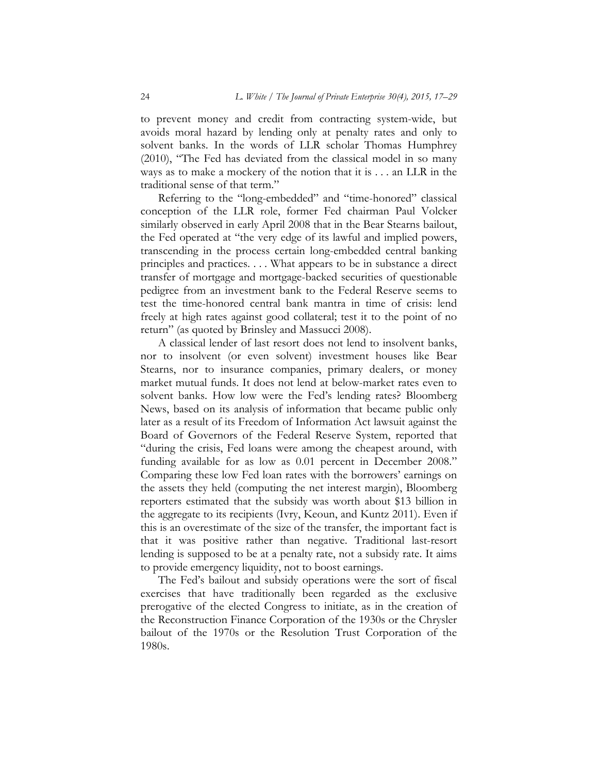to prevent money and credit from contracting system-wide, but avoids moral hazard by lending only at penalty rates and only to solvent banks. In the words of LLR scholar Thomas Humphrey (2010), "The Fed has deviated from the classical model in so many ways as to make a mockery of the notion that it is . . . an LLR in the traditional sense of that term."

Referring to the "long-embedded" and "time-honored" classical conception of the LLR role, former Fed chairman Paul Volcker similarly observed in early April 2008 that in the Bear Stearns bailout, the Fed operated at "the very edge of its lawful and implied powers, transcending in the process certain long-embedded central banking principles and practices. . . . What appears to be in substance a direct transfer of mortgage and mortgage-backed securities of questionable pedigree from an investment bank to the Federal Reserve seems to test the time-honored central bank mantra in time of crisis: lend freely at high rates against good collateral; test it to the point of no return" (as quoted by Brinsley and Massucci 2008).

A classical lender of last resort does not lend to insolvent banks, nor to insolvent (or even solvent) investment houses like Bear Stearns, nor to insurance companies, primary dealers, or money market mutual funds. It does not lend at below-market rates even to solvent banks. How low were the Fed's lending rates? Bloomberg News, based on its analysis of information that became public only later as a result of its Freedom of Information Act lawsuit against the Board of Governors of the Federal Reserve System, reported that "during the crisis, Fed loans were among the cheapest around, with funding available for as low as 0.01 percent in December 2008." Comparing these low Fed loan rates with the borrowers' earnings on the assets they held (computing the net interest margin), Bloomberg reporters estimated that the subsidy was worth about \$13 billion in the aggregate to its recipients (Ivry, Keoun, and Kuntz 2011). Even if this is an overestimate of the size of the transfer, the important fact is that it was positive rather than negative. Traditional last-resort lending is supposed to be at a penalty rate, not a subsidy rate. It aims to provide emergency liquidity, not to boost earnings.

The Fed's bailout and subsidy operations were the sort of fiscal exercises that have traditionally been regarded as the exclusive prerogative of the elected Congress to initiate, as in the creation of the Reconstruction Finance Corporation of the 1930s or the Chrysler bailout of the 1970s or the Resolution Trust Corporation of the 1980s.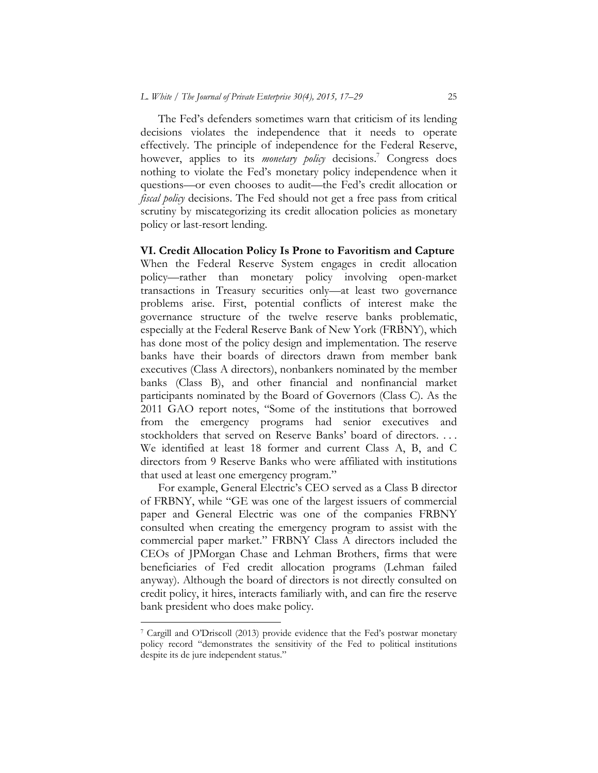The Fed's defenders sometimes warn that criticism of its lending decisions violates the independence that it needs to operate effectively. The principle of independence for the Federal Reserve, however, applies to its *monetary policy* decisions.<sup>7</sup> Congress does nothing to violate the Fed's monetary policy independence when it questions—or even chooses to audit—the Fed's credit allocation or *fiscal policy* decisions. The Fed should not get a free pass from critical scrutiny by miscategorizing its credit allocation policies as monetary policy or last-resort lending.

## **VI. Credit Allocation Policy Is Prone to Favoritism and Capture**

When the Federal Reserve System engages in credit allocation policy—rather than monetary policy involving open-market transactions in Treasury securities only—at least two governance problems arise. First, potential conflicts of interest make the governance structure of the twelve reserve banks problematic, especially at the Federal Reserve Bank of New York (FRBNY), which has done most of the policy design and implementation. The reserve banks have their boards of directors drawn from member bank executives (Class A directors), nonbankers nominated by the member banks (Class B), and other financial and nonfinancial market participants nominated by the Board of Governors (Class C). As the 2011 GAO report notes, "Some of the institutions that borrowed from the emergency programs had senior executives and stockholders that served on Reserve Banks' board of directors. . . . We identified at least 18 former and current Class A, B, and C directors from 9 Reserve Banks who were affiliated with institutions that used at least one emergency program."

For example, General Electric's CEO served as a Class B director of FRBNY, while "GE was one of the largest issuers of commercial paper and General Electric was one of the companies FRBNY consulted when creating the emergency program to assist with the commercial paper market." FRBNY Class A directors included the CEOs of JPMorgan Chase and Lehman Brothers, firms that were beneficiaries of Fed credit allocation programs (Lehman failed anyway). Although the board of directors is not directly consulted on credit policy, it hires, interacts familiarly with, and can fire the reserve bank president who does make policy.

<sup>7</sup> Cargill and O'Driscoll (2013) provide evidence that the Fed's postwar monetary policy record "demonstrates the sensitivity of the Fed to political institutions despite its de jure independent status."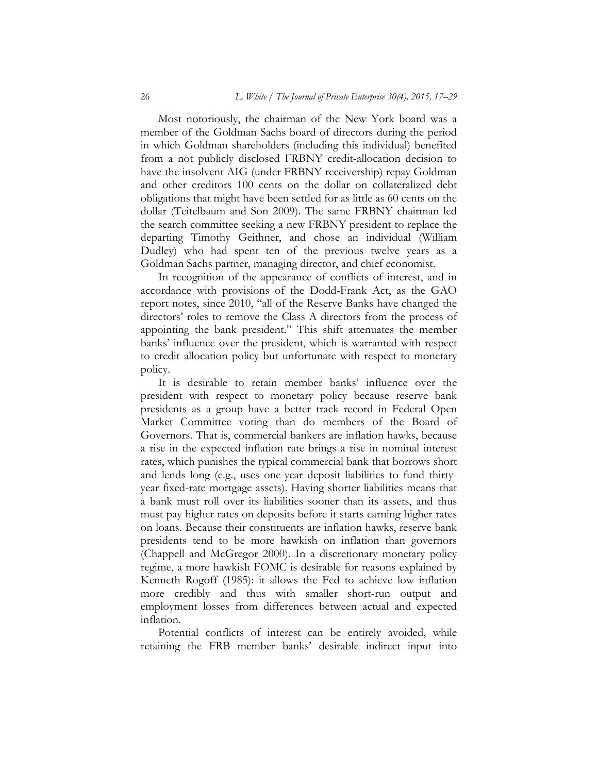Most notoriously, the chairman of the New York board was a member of the Goldman Sachs board of directors during the period in which Goldman shareholders (including this individual) benefited from a not publicly disclosed FRBNY credit-allocation decision to have the insolvent AIG (under FRBNY receivership) repay Goldman and other creditors 100 cents on the dollar on collateralized debt obligations that might have been settled for as little as 60 cents on the dollar (Teitelbaum and Son 2009). The same FRBNY chairman led the search committee seeking a new FRBNY president to replace the departing Timothy Geithner, and chose an individual (William Dudley) who had spent ten of the previous twelve years as a Goldman Sachs partner, managing director, and chief economist.

In recognition of the appearance of conflicts of interest, and in accordance with provisions of the Dodd-Frank Act, as the GAO report notes, since 2010, "all of the Reserve Banks have changed the directors' roles to remove the Class A directors from the process of appointing the bank president." This shift attenuates the member banks' influence over the president, which is warranted with respect to credit allocation policy but unfortunate with respect to monetary policy.

It is desirable to retain member banks' influence over the president with respect to monetary policy because reserve bank presidents as a group have a better track record in Federal Open Market Committee voting than do members of the Board of Governors. That is, commercial bankers are inflation hawks, because a rise in the expected inflation rate brings a rise in nominal interest rates, which punishes the typical commercial bank that borrows short and lends long (e.g., uses one-year deposit liabilities to fund thirtyyear fixed-rate mortgage assets). Having shorter liabilities means that a bank must roll over its liabilities sooner than its assets, and thus must pay higher rates on deposits before it starts earning higher rates on loans. Because their constituents are inflation hawks, reserve bank presidents tend to be more hawkish on inflation than governors (Chappell and McGregor 2000). In a discretionary monetary policy regime, a more hawkish FOMC is desirable for reasons explained by Kenneth Rogoff (1985): it allows the Fed to achieve low inflation more credibly and thus with smaller short-run output and employment losses from differences between actual and expected inflation.

Potential conflicts of interest can be entirely avoided, while retaining the FRB member banks' desirable indirect input into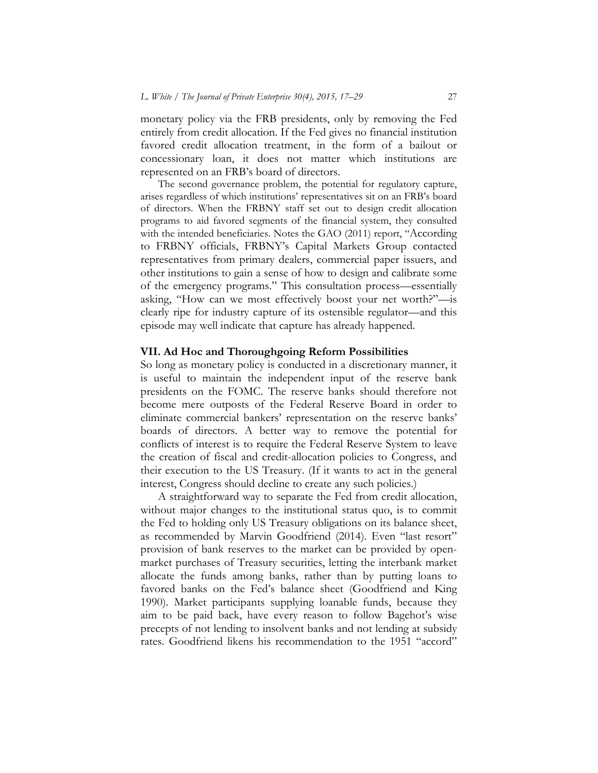monetary policy via the FRB presidents, only by removing the Fed entirely from credit allocation. If the Fed gives no financial institution favored credit allocation treatment, in the form of a bailout or concessionary loan, it does not matter which institutions are represented on an FRB's board of directors.

The second governance problem, the potential for regulatory capture, arises regardless of which institutions' representatives sit on an FRB's board of directors. When the FRBNY staff set out to design credit allocation programs to aid favored segments of the financial system, they consulted with the intended beneficiaries. Notes the GAO (2011) report, "According to FRBNY officials, FRBNY's Capital Markets Group contacted representatives from primary dealers, commercial paper issuers, and other institutions to gain a sense of how to design and calibrate some of the emergency programs." This consultation process—essentially asking, "How can we most effectively boost your net worth?"—is clearly ripe for industry capture of its ostensible regulator—and this episode may well indicate that capture has already happened.

### **VII. Ad Hoc and Thoroughgoing Reform Possibilities**

So long as monetary policy is conducted in a discretionary manner, it is useful to maintain the independent input of the reserve bank presidents on the FOMC. The reserve banks should therefore not become mere outposts of the Federal Reserve Board in order to eliminate commercial bankers' representation on the reserve banks' boards of directors. A better way to remove the potential for conflicts of interest is to require the Federal Reserve System to leave the creation of fiscal and credit-allocation policies to Congress, and their execution to the US Treasury. (If it wants to act in the general interest, Congress should decline to create any such policies.)

A straightforward way to separate the Fed from credit allocation, without major changes to the institutional status quo, is to commit the Fed to holding only US Treasury obligations on its balance sheet, as recommended by Marvin Goodfriend (2014). Even "last resort" provision of bank reserves to the market can be provided by openmarket purchases of Treasury securities, letting the interbank market allocate the funds among banks, rather than by putting loans to favored banks on the Fed's balance sheet (Goodfriend and King 1990). Market participants supplying loanable funds, because they aim to be paid back, have every reason to follow Bagehot's wise precepts of not lending to insolvent banks and not lending at subsidy rates. Goodfriend likens his recommendation to the 1951 "accord"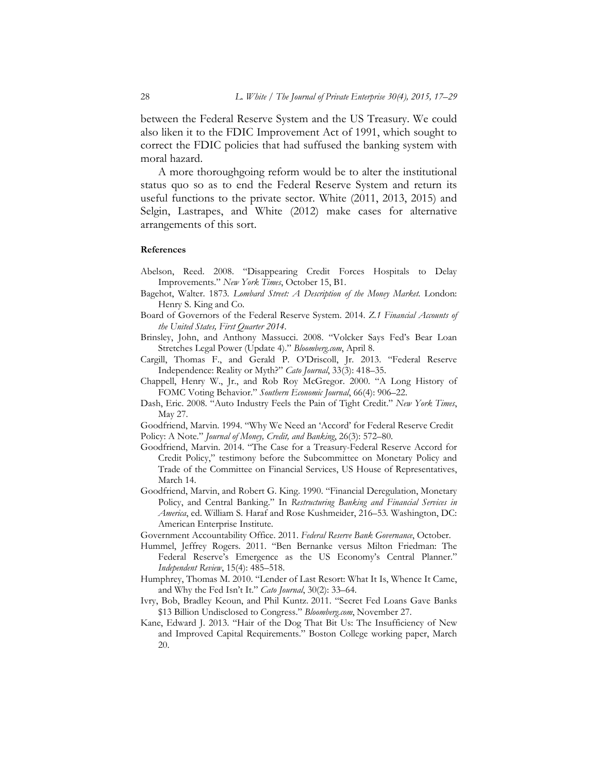between the Federal Reserve System and the US Treasury. We could also liken it to the FDIC Improvement Act of 1991, which sought to correct the FDIC policies that had suffused the banking system with moral hazard.

A more thoroughgoing reform would be to alter the institutional status quo so as to end the Federal Reserve System and return its useful functions to the private sector. White (2011, 2013, 2015) and Selgin, Lastrapes, and White (2012) make cases for alternative arrangements of this sort.

#### **References**

- Abelson, Reed. 2008. "Disappearing Credit Forces Hospitals to Delay Improvements." *New York Times*, October 15, B1.
- Bagehot, Walter. 1873*. Lombard Street: A Description of the Money Market.* London: Henry S. King and Co.
- Board of Governors of the Federal Reserve System. 2014. *Z.1 Financial Accounts of the United States, First Quarter 2014*.
- Brinsley, John, and Anthony Massucci. 2008. "Volcker Says Fed's Bear Loan Stretches Legal Power (Update 4)." *Bloomberg.com*, April 8.
- Cargill, Thomas F., and Gerald P. O'Driscoll, Jr. 2013. "Federal Reserve Independence: Reality or Myth?" *Cato Journal*, 33(3): 418–35.
- Chappell, Henry W., Jr., and Rob Roy McGregor. 2000. "A Long History of FOMC Voting Behavior." *Southern Economic Journal*, 66(4): 906–22.
- Dash, Eric. 2008. "Auto Industry Feels the Pain of Tight Credit." *New York Times*, May 27.
- Goodfriend, Marvin. 1994. "Why We Need an 'Accord' for Federal Reserve Credit
- Policy: A Note." *Journal of Money, Credit, and Banking*, 26(3): 572–80.
- Goodfriend, Marvin. 2014. "The Case for a Treasury-Federal Reserve Accord for Credit Policy," testimony before the Subcommittee on Monetary Policy and Trade of the Committee on Financial Services, US House of Representatives, March 14.
- Goodfriend, Marvin, and Robert G. King. 1990. "Financial Deregulation, Monetary Policy, and Central Banking." In *Restructuring Banking and Financial Services in America*, ed. William S. Haraf and Rose Kushmeider, 216–53*.* Washington, DC: American Enterprise Institute.
- Government Accountability Office. 2011. *Federal Reserve Bank Governance*, October.
- Hummel, Jeffrey Rogers. 2011. "Ben Bernanke versus Milton Friedman: The Federal Reserve's Emergence as the US Economy's Central Planner." *Independent Review*, 15(4): 485–518.
- Humphrey, Thomas M. 2010. "Lender of Last Resort: What It Is, Whence It Came, and Why the Fed Isn't It." *Cato Journal*, 30(2): 33–64.
- Ivry, Bob, Bradley Keoun, and Phil Kuntz. 2011. "Secret Fed Loans Gave Banks \$13 Billion Undisclosed to Congress." *Bloomberg.com*, November 27.
- Kane, Edward J. 2013. "Hair of the Dog That Bit Us: The Insufficiency of New and Improved Capital Requirements." Boston College working paper, March 20.